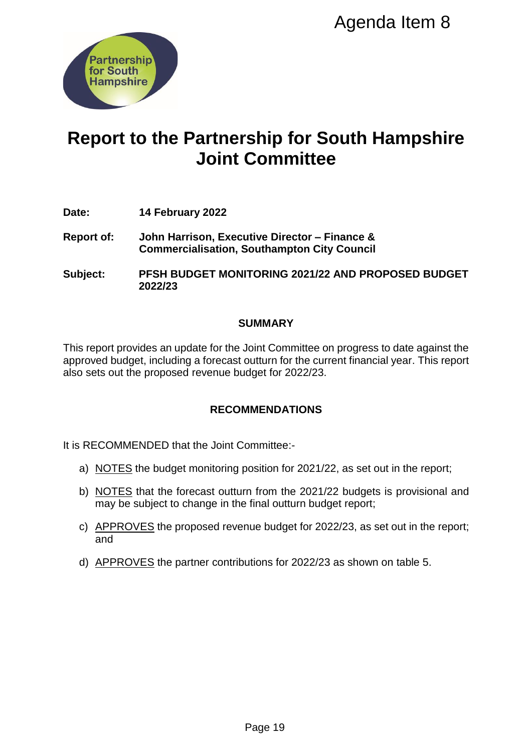

# **Report to the Partnership for South Hampshire Joint Committee** Agenda Item 8<br>
Ship for South Hampshin<br>
Committee<br>
utive Director – Finance &<br>
Southampton City Council<br>
ITORING 2021/22 AND PROPOSED BUDO<br>
UMMARY<br>
Unit Committee on progress to date against<br>
unitum for the current financi

- **Date: 14 February 2022**
- **Report of: John Harrison, Executive Director – Finance & Commercialisation, Southampton City Council**
- **Subject: PFSH BUDGET MONITORING 2021/22 AND PROPOSED BUDGET 2022/23**

## **SUMMARY**

This report provides an update for the Joint Committee on progress to date against the approved budget, including a forecast outturn for the current financial year. This report also sets out the proposed revenue budget for 2022/23.

# **RECOMMENDATIONS**

It is RECOMMENDED that the Joint Committee:-

- a) NOTES the budget monitoring position for 2021/22, as set out in the report;
- b) NOTES that the forecast outturn from the 2021/22 budgets is provisional and may be subject to change in the final outturn budget report;
- c) APPROVES the proposed revenue budget for 2022/23, as set out in the report; and
- d) APPROVES the partner contributions for 2022/23 as shown on table 5.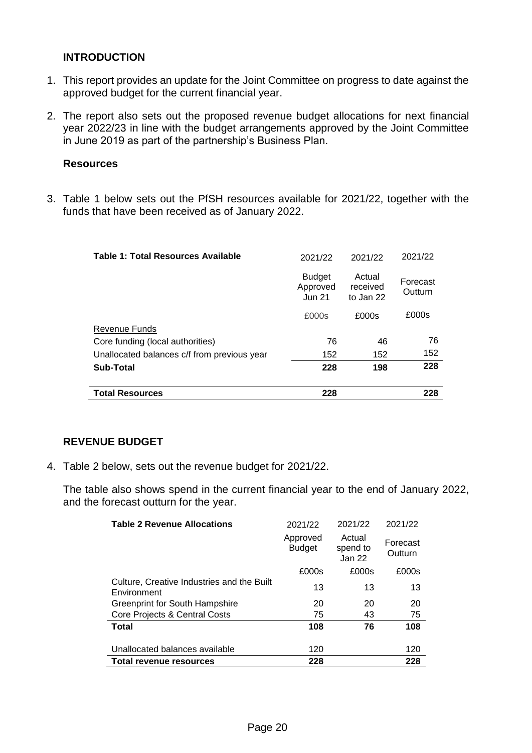### **INTRODUCTION**

- 1. This report provides an update for the Joint Committee on progress to date against the approved budget for the current financial year.
- 2. The report also sets out the proposed revenue budget allocations for next financial year 2022/23 in line with the budget arrangements approved by the Joint Committee in June 2019 as part of the partnership's Business Plan.

### **Resources**

3. Table 1 below sets out the PfSH resources available for 2021/22, together with the funds that have been received as of January 2022.

| <b>Table 1: Total Resources Available</b>   | 2021/22                                | 2021/22                         | 2021/22             |
|---------------------------------------------|----------------------------------------|---------------------------------|---------------------|
|                                             | <b>Budget</b><br>Approved<br>$J$ un 21 | Actual<br>received<br>to Jan 22 | Forecast<br>Outturn |
|                                             | £000s                                  | £000s                           | £000s               |
| <b>Revenue Funds</b>                        |                                        |                                 |                     |
| Core funding (local authorities)            | 76                                     | 46                              | 76                  |
| Unallocated balances c/f from previous year | 152                                    | 152                             | 152                 |
| Sub-Total                                   | 228                                    | 198                             | 228                 |
|                                             |                                        |                                 |                     |
| <b>Total Resources</b>                      | 228                                    |                                 | 228                 |

# **REVENUE BUDGET**

4. Table 2 below, sets out the revenue budget for 2021/22.

The table also shows spend in the current financial year to the end of January 2022, and the forecast outturn for the year.

| <b>Table 2 Revenue Allocations</b>                        | 2021/22                   | 2021/22                      | 2021/22             |
|-----------------------------------------------------------|---------------------------|------------------------------|---------------------|
|                                                           | Approved<br><b>Budget</b> | Actual<br>spend to<br>Jan 22 | Forecast<br>Outturn |
|                                                           | £000s                     | £000s                        | £000s               |
| Culture, Creative Industries and the Built<br>Environment | 13                        | 13                           | 13                  |
| <b>Greenprint for South Hampshire</b>                     | 20                        | 20                           | 20                  |
| Core Projects & Central Costs                             | 75                        | 43                           | 75                  |
| <b>Total</b>                                              | 108                       | 76                           | 108                 |
|                                                           |                           |                              |                     |
| Unallocated balances available                            | 120                       |                              | 120                 |
| Total revenue resources                                   | 228                       |                              | 228                 |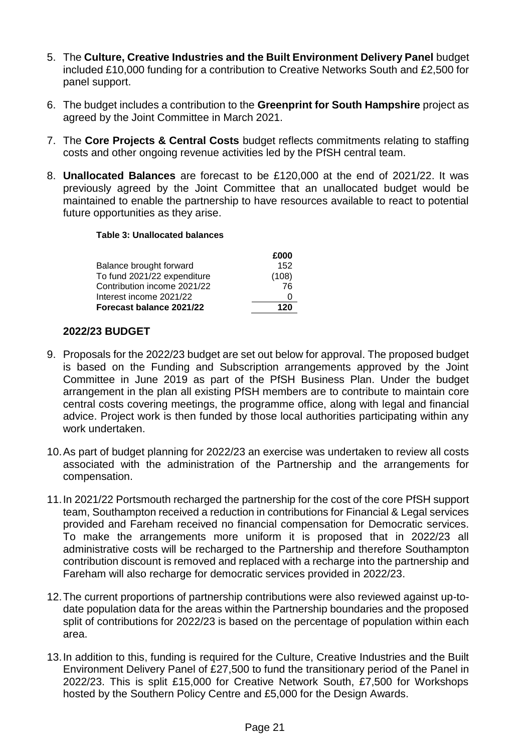- 5. The **Culture, Creative Industries and the Built Environment Delivery Panel** budget included £10,000 funding for a contribution to Creative Networks South and £2,500 for panel support.
- 6. The budget includes a contribution to the **Greenprint for South Hampshire** project as agreed by the Joint Committee in March 2021.
- 7. The **Core Projects & Central Costs** budget reflects commitments relating to staffing costs and other ongoing revenue activities led by the PfSH central team.
- 8. **Unallocated Balances** are forecast to be £120,000 at the end of 2021/22. It was previously agreed by the Joint Committee that an unallocated budget would be maintained to enable the partnership to have resources available to react to potential future opportunities as they arise.

### **Table 3: Unallocated balances**

|                             | £000  |
|-----------------------------|-------|
| Balance brought forward     | 152   |
| To fund 2021/22 expenditure | (108) |
| Contribution income 2021/22 | 76    |
| Interest income 2021/22     | 0     |
| Forecast balance 2021/22    | 120   |

## **2022/23 BUDGET**

- 9. Proposals for the 2022/23 budget are set out below for approval. The proposed budget is based on the Funding and Subscription arrangements approved by the Joint Committee in June 2019 as part of the PfSH Business Plan. Under the budget arrangement in the plan all existing PfSH members are to contribute to maintain core central costs covering meetings, the programme office, along with legal and financial advice. Project work is then funded by those local authorities participating within any work undertaken.
- 10.As part of budget planning for 2022/23 an exercise was undertaken to review all costs associated with the administration of the Partnership and the arrangements for compensation.
- 11.In 2021/22 Portsmouth recharged the partnership for the cost of the core PfSH support team, Southampton received a reduction in contributions for Financial & Legal services provided and Fareham received no financial compensation for Democratic services. To make the arrangements more uniform it is proposed that in 2022/23 all administrative costs will be recharged to the Partnership and therefore Southampton contribution discount is removed and replaced with a recharge into the partnership and Fareham will also recharge for democratic services provided in 2022/23.
- 12.The current proportions of partnership contributions were also reviewed against up-todate population data for the areas within the Partnership boundaries and the proposed split of contributions for 2022/23 is based on the percentage of population within each area.
- 13.In addition to this, funding is required for the Culture, Creative Industries and the Built Environment Delivery Panel of £27,500 to fund the transitionary period of the Panel in 2022/23. This is split £15,000 for Creative Network South, £7,500 for Workshops hosted by the Southern Policy Centre and £5,000 for the Design Awards.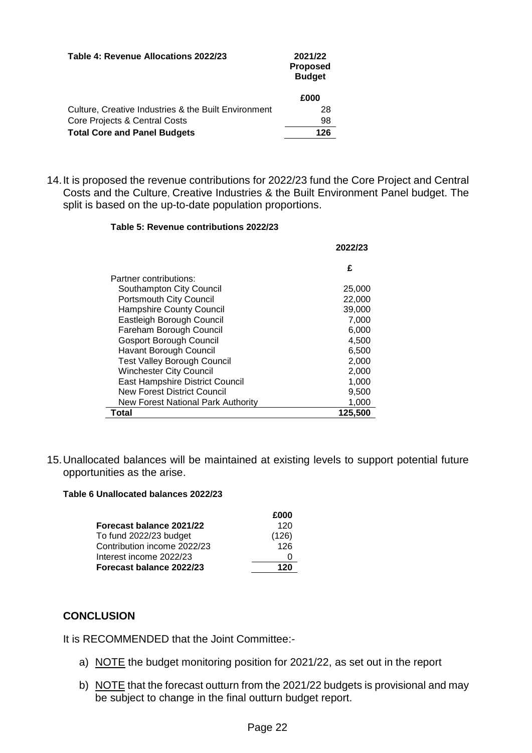| Table 4: Revenue Allocations 2022/23                 | 2021/22<br><b>Proposed</b><br><b>Budget</b> |
|------------------------------------------------------|---------------------------------------------|
|                                                      | £000                                        |
| Culture, Creative Industries & the Built Environment | 28                                          |
| Core Projects & Central Costs                        | 98                                          |
| <b>Total Core and Panel Budgets</b>                  | 126                                         |

14.It is proposed the revenue contributions for 2022/23 fund the Core Project and Central Costs and the Culture, Creative Industries & the Built Environment Panel budget. The split is based on the up-to-date population proportions.

### **Table 5: Revenue contributions 2022/23**

|                                    | 2022/23 |
|------------------------------------|---------|
|                                    | £       |
| Partner contributions:             |         |
| Southampton City Council           | 25,000  |
| Portsmouth City Council            | 22,000  |
| <b>Hampshire County Council</b>    | 39,000  |
| Eastleigh Borough Council          | 7,000   |
| Fareham Borough Council            | 6,000   |
| <b>Gosport Borough Council</b>     | 4,500   |
| <b>Havant Borough Council</b>      | 6,500   |
| <b>Test Valley Borough Council</b> | 2,000   |
| <b>Winchester City Council</b>     | 2,000   |
| East Hampshire District Council    | 1,000   |
| New Forest District Council        | 9,500   |
| New Forest National Park Authority | 1,000   |
| Total                              | 125,500 |

15.Unallocated balances will be maintained at existing levels to support potential future opportunities as the arise.

### **Table 6 Unallocated balances 2022/23**

|                             | £000  |
|-----------------------------|-------|
| Forecast balance 2021/22    | 120   |
| To fund 2022/23 budget      | (126) |
| Contribution income 2022/23 | 126   |
| Interest income 2022/23     |       |
| Forecast balance 2022/23    | 120   |

# **CONCLUSION**

It is RECOMMENDED that the Joint Committee:-

- a) NOTE the budget monitoring position for 2021/22, as set out in the report
- b) NOTE that the forecast outturn from the 2021/22 budgets is provisional and may be subject to change in the final outturn budget report.